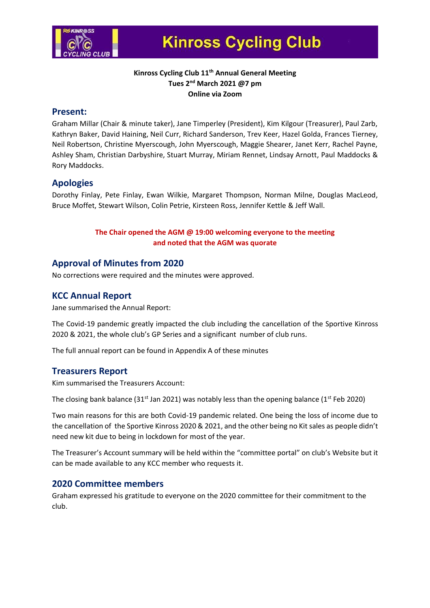

# **Kinross Cycling Club**

#### **Kinross Cycling Club 11th Annual General Meeting Tues 2nd March 2021 @7 pm Online via Zoom**

#### **Present:**

Graham Millar (Chair & minute taker), Jane Timperley (President), Kim Kilgour (Treasurer), Paul Zarb, Kathryn Baker, David Haining, Neil Curr, Richard Sanderson, Trev Keer, Hazel Golda, Frances Tierney, Neil Robertson, Christine Myerscough, John Myerscough, Maggie Shearer, Janet Kerr, Rachel Payne, Ashley Sham, Christian Darbyshire, Stuart Murray, Miriam Rennet, Lindsay Arnott, Paul Maddocks & Rory Maddocks.

#### **Apologies**

Dorothy Finlay, Pete Finlay, Ewan Wilkie, Margaret Thompson, Norman Milne, Douglas MacLeod, Bruce Moffet, Stewart Wilson, Colin Petrie, Kirsteen Ross, Jennifer Kettle & Jeff Wall.

#### **The Chair opened the AGM @ 19:00 welcoming everyone to the meeting and noted that the AGM was quorate**

### **Approval of Minutes from 2020**

No corrections were required and the minutes were approved.

# **KCC Annual Report**

Jane summarised the Annual Report:

The Covid-19 pandemic greatly impacted the club including the cancellation of the Sportive Kinross 2020 & 2021, the whole club's GP Series and a significant number of club runs.

The full annual report can be found in Appendix A of these minutes

#### **Treasurers Report**

Kim summarised the Treasurers Account:

The closing bank balance (31<sup>st</sup> Jan 2021) was notably less than the opening balance (1<sup>st</sup> Feb 2020)

Two main reasons for this are both Covid-19 pandemic related. One being the loss of income due to the cancellation of the Sportive Kinross 2020 & 2021, and the other being no Kit sales as people didn't need new kit due to being in lockdown for most of the year.

The Treasurer's Account summary will be held within the "committee portal" on club's Website but it can be made available to any KCC member who requests it.

#### **2020 Committee members**

Graham expressed his gratitude to everyone on the 2020 committee for their commitment to the club.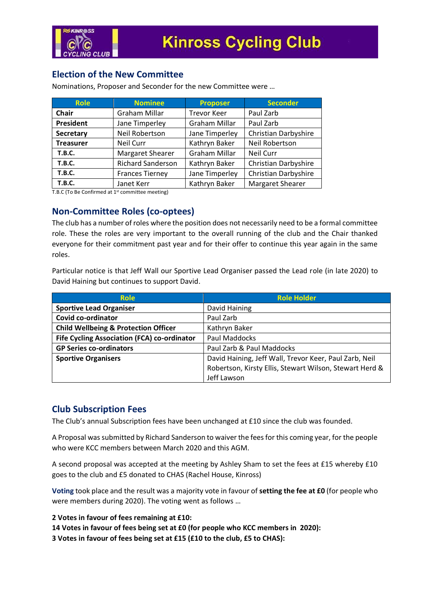

# **Election of the New Committee**

Nominations, Proposer and Seconder for the new Committee were …

| <b>Role</b>      | <b>Nominee</b>           | <b>Proposer</b>      | <b>Seconder</b>      |
|------------------|--------------------------|----------------------|----------------------|
| Chair            | Graham Millar            | <b>Trevor Keer</b>   | Paul Zarb            |
| President        | Jane Timperley           | <b>Graham Millar</b> | Paul Zarb            |
| <b>Secretary</b> | Neil Robertson           | Jane Timperley       | Christian Darbyshire |
| <b>Treasurer</b> | Neil Curr                | Kathryn Baker        | Neil Robertson       |
| <b>T.B.C.</b>    | <b>Margaret Shearer</b>  | <b>Graham Millar</b> | Neil Curr            |
| <b>T.B.C.</b>    | <b>Richard Sanderson</b> | Kathryn Baker        | Christian Darbyshire |
| <b>T.B.C.</b>    | <b>Frances Tierney</b>   | Jane Timperley       | Christian Darbyshire |
| <b>T.B.C.</b>    | Janet Kerr               | Kathryn Baker        | Margaret Shearer     |

T.B.C (To Be Confirmed at 1<sup>st</sup> committee meeting)

#### **Non-Committee Roles (co-optees)**

The club has a number of roles where the position does not necessarily need to be a formal committee role. These the roles are very important to the overall running of the club and the Chair thanked everyone for their commitment past year and for their offer to continue this year again in the same roles.

Particular notice is that Jeff Wall our Sportive Lead Organiser passed the Lead role (in late 2020) to David Haining but continues to support David.

| <b>Role</b>                                     | <b>Role Holder</b>                                      |  |
|-------------------------------------------------|---------------------------------------------------------|--|
| <b>Sportive Lead Organiser</b>                  | David Haining                                           |  |
| Covid co-ordinator                              | Paul Zarb                                               |  |
| <b>Child Wellbeing &amp; Protection Officer</b> | Kathryn Baker                                           |  |
| Fife Cycling Association (FCA) co-ordinator     | Paul Maddocks                                           |  |
| <b>GP Series co-ordinators</b>                  | Paul Zarb & Paul Maddocks                               |  |
| <b>Sportive Organisers</b>                      | David Haining, Jeff Wall, Trevor Keer, Paul Zarb, Neil  |  |
|                                                 | Robertson, Kirsty Ellis, Stewart Wilson, Stewart Herd & |  |
|                                                 | Jeff Lawson                                             |  |

# **Club Subscription Fees**

The Club's annual Subscription fees have been unchanged at £10 since the club was founded.

A Proposal was submitted by Richard Sanderson to waiver the fees for this coming year, for the people who were KCC members between March 2020 and this AGM.

A second proposal was accepted at the meeting by Ashley Sham to set the fees at £15 whereby £10 goes to the club and £5 donated to CHAS (Rachel House, Kinross)

**Voting** took place and the result was a majority vote in favour of **setting the fee at £0** (for people who were members during 2020). The voting went as follows …

**2 Votes in favour of fees remaining at £10:**

**14 Votes in favour of fees being set at £0 (for people who KCC members in 2020):**

**3 Votes in favour of fees being set at £15 (£10 to the club, £5 to CHAS):**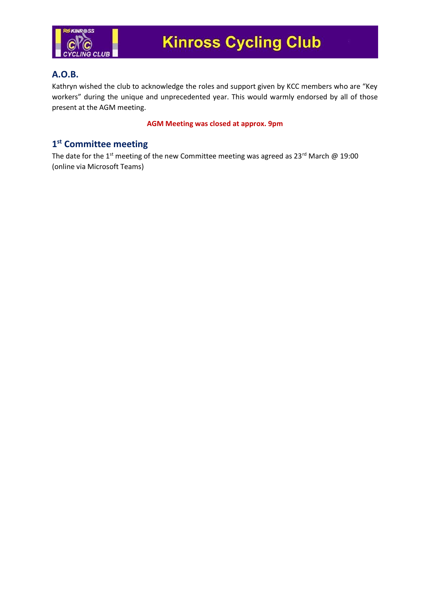

# **A.O.B.**

Kathryn wished the club to acknowledge the roles and support given by KCC members who are "Key workers" during the unique and unprecedented year. This would warmly endorsed by all of those present at the AGM meeting.

#### **AGM Meeting was closed at approx. 9pm**

# **1 st Committee meeting**

The date for the 1<sup>st</sup> meeting of the new Committee meeting was agreed as 23<sup>rd</sup> March @ 19:00 (online via Microsoft Teams)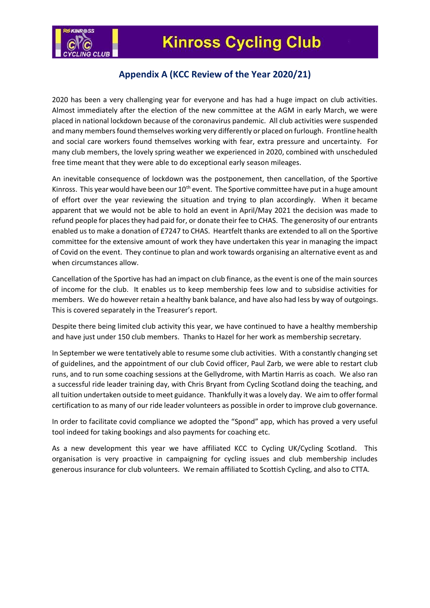

# **Appendix A (KCC Review of the Year 2020/21)**

2020 has been a very challenging year for everyone and has had a huge impact on club activities. Almost immediately after the election of the new committee at the AGM in early March, we were placed in national lockdown because of the coronavirus pandemic. All club activities were suspended and many members found themselves working very differently or placed on furlough. Frontline health and social care workers found themselves working with fear, extra pressure and uncertainty. For many club members, the lovely spring weather we experienced in 2020, combined with unscheduled free time meant that they were able to do exceptional early season mileages.

An inevitable consequence of lockdown was the postponement, then cancellation, of the Sportive Kinross. This year would have been our  $10<sup>th</sup>$  event. The Sportive committee have put in a huge amount of effort over the year reviewing the situation and trying to plan accordingly. When it became apparent that we would not be able to hold an event in April/May 2021 the decision was made to refund people for places they had paid for, or donate their fee to CHAS. The generosity of our entrants enabled us to make a donation of £7247 to CHAS. Heartfelt thanks are extended to all on the Sportive committee for the extensive amount of work they have undertaken this year in managing the impact of Covid on the event. They continue to plan and work towards organising an alternative event as and when circumstances allow.

Cancellation of the Sportive has had an impact on club finance, as the event is one of the main sources of income for the club. It enables us to keep membership fees low and to subsidise activities for members. We do however retain a healthy bank balance, and have also had less by way of outgoings. This is covered separately in the Treasurer's report.

Despite there being limited club activity this year, we have continued to have a healthy membership and have just under 150 club members. Thanks to Hazel for her work as membership secretary.

In September we were tentatively able to resume some club activities. With a constantly changing set of guidelines, and the appointment of our club Covid officer, Paul Zarb, we were able to restart club runs, and to run some coaching sessions at the Gellydrome, with Martin Harris as coach. We also ran a successful ride leader training day, with Chris Bryant from Cycling Scotland doing the teaching, and all tuition undertaken outside to meet guidance. Thankfully it was a lovely day. We aim to offer formal certification to as many of our ride leader volunteers as possible in order to improve club governance.

In order to facilitate covid compliance we adopted the "Spond" app, which has proved a very useful tool indeed for taking bookings and also payments for coaching etc.

As a new development this year we have affiliated KCC to Cycling UK/Cycling Scotland. This organisation is very proactive in campaigning for cycling issues and club membership includes generous insurance for club volunteers. We remain affiliated to Scottish Cycling, and also to CTTA.